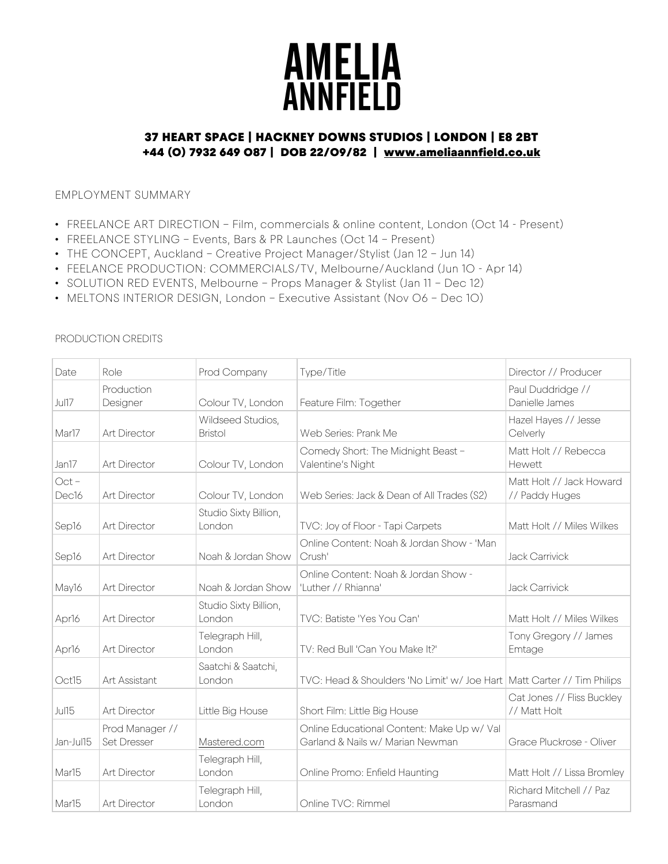# **AMELIA**<br>ANNFIELD

# 37 HEART SPACE | HACKNEY DOWNS STUDIOS | LONDON | E8 2BT +44 (0) 7932 649 087 | DOB 22/09/82 | www.ameliaannfield.co.uk

# EMPLOYMENT SUMMARY

- FREELANCE ART DIRECTION Film, commercials & online content, London (0ct 14 Present)
- FREELANCE STYLING Events, Bars & PR Launches (Oct 14 Present)
- THE CONCEPT, Auckland Creative Project Manager/Stylist (Jan 12 Jun 14)
- FEELANCE PRODUCTION: COMMERCIALS/TV, Melbourne/Auckland (Jun 10 Apr 14)
- SOLUTION RED EVENTS, Melbourne Props Manager & Stylist (Jan 11 Dec 12)
- MELTONS INTERIOR DESIGN, London Executive Assistant (Nov O6 Dec 10)

| Date                         | Role                                  | Prod Company                        | Type/Title                                                                     | Director // Producer                       |
|------------------------------|---------------------------------------|-------------------------------------|--------------------------------------------------------------------------------|--------------------------------------------|
| <b>Jul17</b>                 | Production<br>Designer                | Colour TV, London                   | Feature Film: Together                                                         | Paul Duddridge //<br>Danielle James        |
| Mar17                        | <b>Art Director</b>                   | Wildseed Studios,<br><b>Bristol</b> | Web Series: Prank Me                                                           | Hazel Hayes // Jesse<br>Celverly           |
| Jan17                        | Art Director                          | Colour TV, London                   | Comedy Short: The Midnight Beast -<br>Valentine's Night                        | Matt Holt // Rebecca<br>Hewett             |
| $Oct -$<br>Dec <sub>16</sub> | Art Director                          | Colour TV, London                   | Web Series: Jack & Dean of All Trades (S2)                                     | Matt Holt // Jack Howard<br>// Paddy Huges |
| Sep16                        | Art Director                          | Studio Sixty Billion,<br>London     | TVC: Joy of Floor - Tapi Carpets                                               | Matt Holt // Miles Wilkes                  |
| Sep16                        | Art Director                          | Noah & Jordan Show                  | Online Content: Noah & Jordan Show - 'Man<br>Crush'                            | <b>Jack Carrivick</b>                      |
| May16                        | <b>Art Director</b>                   | Noah & Jordan Show                  | Online Content: Noah & Jordan Show -<br>'Luther // Rhianna'                    | <b>Jack Carrivick</b>                      |
| Apr16                        | Art Director                          | Studio Sixty Billion,<br>London     | TVC: Batiste 'Yes You Can'                                                     | Matt Holt // Miles Wilkes                  |
| Apr16                        | Art Director                          | Telegraph Hill,<br>London           | TV: Red Bull 'Can You Make It?'                                                | Tony Gregory // James<br>Emtage            |
| Oct15                        | Art Assistant                         | Saatchi & Saatchi,<br>London        | TVC: Head & Shoulders 'No Limit' w/ Joe Hart   Matt Carter // Tim Philips      |                                            |
| Jul15                        | <b>Art Director</b>                   | Little Big House                    | Short Film: Little Big House                                                   | Cat Jones // Fliss Buckley<br>// Matt Holt |
| Jan-Jul15                    | Prod Manager //<br><b>Set Dresser</b> | Mastered.com                        | Online Educational Content: Make Up w/ Val<br>Garland & Nails w/ Marian Newman | Grace Pluckrose - Oliver                   |
| Mar15                        | <b>Art Director</b>                   | Telegraph Hill,<br>London           | Online Promo: Enfield Haunting                                                 | Matt Holt // Lissa Bromley                 |
| Mar15                        | <b>Art Director</b>                   | Telegraph Hill,<br>London           | Online TVC: Rimmel                                                             | Richard Mitchell // Paz<br>Parasmand       |

### PRODUCTION CREDITS